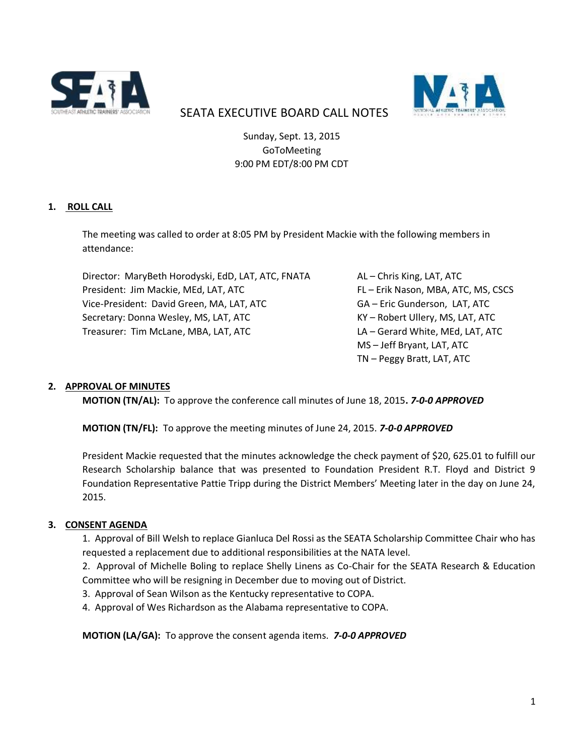



# SEATA EXECUTIVE BOARD CALL NOTES

Sunday, Sept. 13, 2015 GoToMeeting 9:00 PM EDT/8:00 PM CDT

# **1. ROLL CALL**

The meeting was called to order at 8:05 PM by President Mackie with the following members in attendance:

Director: MaryBeth Horodyski, EdD, LAT, ATC, FNATA AL – Chris King, LAT, ATC President: Jim Mackie, MEd, LAT, ATC FL – Erik Nason, MBA, ATC, MS, CSCS Vice-President: David Green, MA, LAT, ATC GA – Eric Gunderson, LAT, ATC Secretary: Donna Wesley, MS, LAT, ATC KY – Robert Ullery, MS, LAT, ATC Treasurer: Tim McLane, MBA, LAT, ATC LA – Gerard White, MEd, LAT, ATC

MS – Jeff Bryant, LAT, ATC TN – Peggy Bratt, LAT, ATC

#### **2. APPROVAL OF MINUTES**

**MOTION (TN/AL):** To approve the conference call minutes of June 18, 2015**.** *7-0-0 APPROVED*

**MOTION (TN/FL):** To approve the meeting minutes of June 24, 2015. *7-0-0 APPROVED*

President Mackie requested that the minutes acknowledge the check payment of \$20, 625.01 to fulfill our Research Scholarship balance that was presented to Foundation President R.T. Floyd and District 9 Foundation Representative Pattie Tripp during the District Members' Meeting later in the day on June 24, 2015.

#### **3. CONSENT AGENDA**

1. Approval of Bill Welsh to replace Gianluca Del Rossi as the SEATA Scholarship Committee Chair who has requested a replacement due to additional responsibilities at the NATA level.

2. Approval of Michelle Boling to replace Shelly Linens as Co-Chair for the SEATA Research & Education Committee who will be resigning in December due to moving out of District.

- 3. Approval of Sean Wilson as the Kentucky representative to COPA.
- 4. Approval of Wes Richardson as the Alabama representative to COPA.

**MOTION (LA/GA):** To approve the consent agenda items. *7-0-0 APPROVED*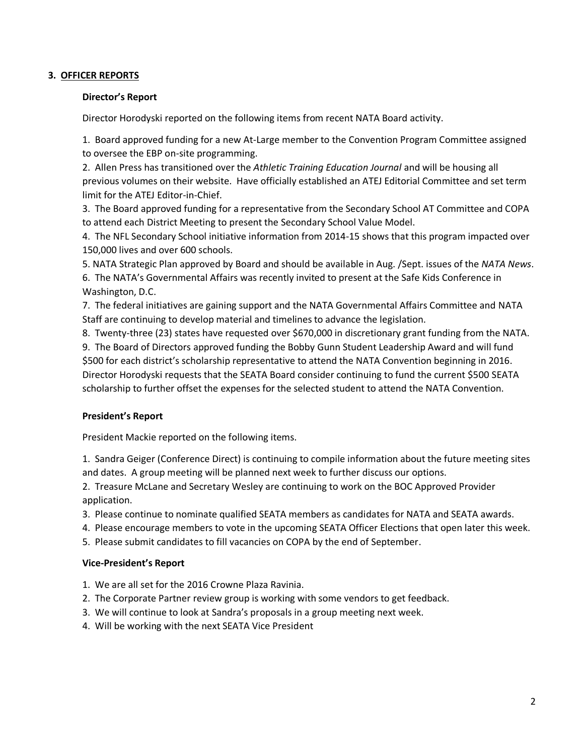## **3. OFFICER REPORTS**

#### **Director's Report**

Director Horodyski reported on the following items from recent NATA Board activity.

1. Board approved funding for a new At-Large member to the Convention Program Committee assigned to oversee the EBP on-site programming.

2. Allen Press has transitioned over the *Athletic Training Education Journal* and will be housing all previous volumes on their website. Have officially established an ATEJ Editorial Committee and set term limit for the ATEJ Editor-in-Chief.

3. The Board approved funding for a representative from the Secondary School AT Committee and COPA to attend each District Meeting to present the Secondary School Value Model.

4. The NFL Secondary School initiative information from 2014-15 shows that this program impacted over 150,000 lives and over 600 schools.

5. NATA Strategic Plan approved by Board and should be available in Aug. /Sept. issues of the *NATA News*.

6. The NATA's Governmental Affairs was recently invited to present at the Safe Kids Conference in Washington, D.C.

7. The federal initiatives are gaining support and the NATA Governmental Affairs Committee and NATA Staff are continuing to develop material and timelines to advance the legislation.

8. Twenty-three (23) states have requested over \$670,000 in discretionary grant funding from the NATA.

9. The Board of Directors approved funding the Bobby Gunn Student Leadership Award and will fund \$500 for each district's scholarship representative to attend the NATA Convention beginning in 2016. Director Horodyski requests that the SEATA Board consider continuing to fund the current \$500 SEATA scholarship to further offset the expenses for the selected student to attend the NATA Convention.

# **President's Report**

President Mackie reported on the following items.

1. Sandra Geiger (Conference Direct) is continuing to compile information about the future meeting sites and dates. A group meeting will be planned next week to further discuss our options.

2. Treasure McLane and Secretary Wesley are continuing to work on the BOC Approved Provider application.

3. Please continue to nominate qualified SEATA members as candidates for NATA and SEATA awards.

4. Please encourage members to vote in the upcoming SEATA Officer Elections that open later this week.

5. Please submit candidates to fill vacancies on COPA by the end of September.

# **Vice-President's Report**

- 1. We are all set for the 2016 Crowne Plaza Ravinia.
- 2. The Corporate Partner review group is working with some vendors to get feedback.
- 3. We will continue to look at Sandra's proposals in a group meeting next week.
- 4. Will be working with the next SEATA Vice President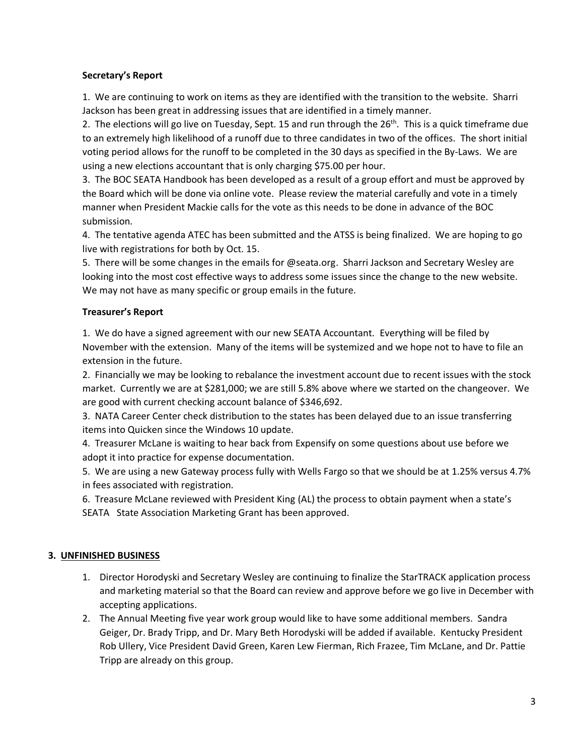## **Secretary's Report**

1. We are continuing to work on items as they are identified with the transition to the website. Sharri Jackson has been great in addressing issues that are identified in a timely manner.

2. The elections will go live on Tuesday, Sept. 15 and run through the  $26<sup>th</sup>$ . This is a quick timeframe due to an extremely high likelihood of a runoff due to three candidates in two of the offices. The short initial voting period allows for the runoff to be completed in the 30 days as specified in the By-Laws. We are using a new elections accountant that is only charging \$75.00 per hour.

3. The BOC SEATA Handbook has been developed as a result of a group effort and must be approved by the Board which will be done via online vote. Please review the material carefully and vote in a timely manner when President Mackie calls for the vote as this needs to be done in advance of the BOC submission.

4. The tentative agenda ATEC has been submitted and the ATSS is being finalized. We are hoping to go live with registrations for both by Oct. 15.

5. There will be some changes in the emails for @seata.org. Sharri Jackson and Secretary Wesley are looking into the most cost effective ways to address some issues since the change to the new website. We may not have as many specific or group emails in the future.

# **Treasurer's Report**

1. We do have a signed agreement with our new SEATA Accountant. Everything will be filed by November with the extension. Many of the items will be systemized and we hope not to have to file an extension in the future.

2. Financially we may be looking to rebalance the investment account due to recent issues with the stock market. Currently we are at \$281,000; we are still 5.8% above where we started on the changeover. We are good with current checking account balance of \$346,692.

3. NATA Career Center check distribution to the states has been delayed due to an issue transferring items into Quicken since the Windows 10 update.

4. Treasurer McLane is waiting to hear back from Expensify on some questions about use before we adopt it into practice for expense documentation.

5. We are using a new Gateway process fully with Wells Fargo so that we should be at 1.25% versus 4.7% in fees associated with registration.

6. Treasure McLane reviewed with President King (AL) the process to obtain payment when a state's SEATA State Association Marketing Grant has been approved.

# **3. UNFINISHED BUSINESS**

- 1. Director Horodyski and Secretary Wesley are continuing to finalize the StarTRACK application process and marketing material so that the Board can review and approve before we go live in December with accepting applications.
- 2. The Annual Meeting five year work group would like to have some additional members. Sandra Geiger, Dr. Brady Tripp, and Dr. Mary Beth Horodyski will be added if available. Kentucky President Rob Ullery, Vice President David Green, Karen Lew Fierman, Rich Frazee, Tim McLane, and Dr. Pattie Tripp are already on this group.